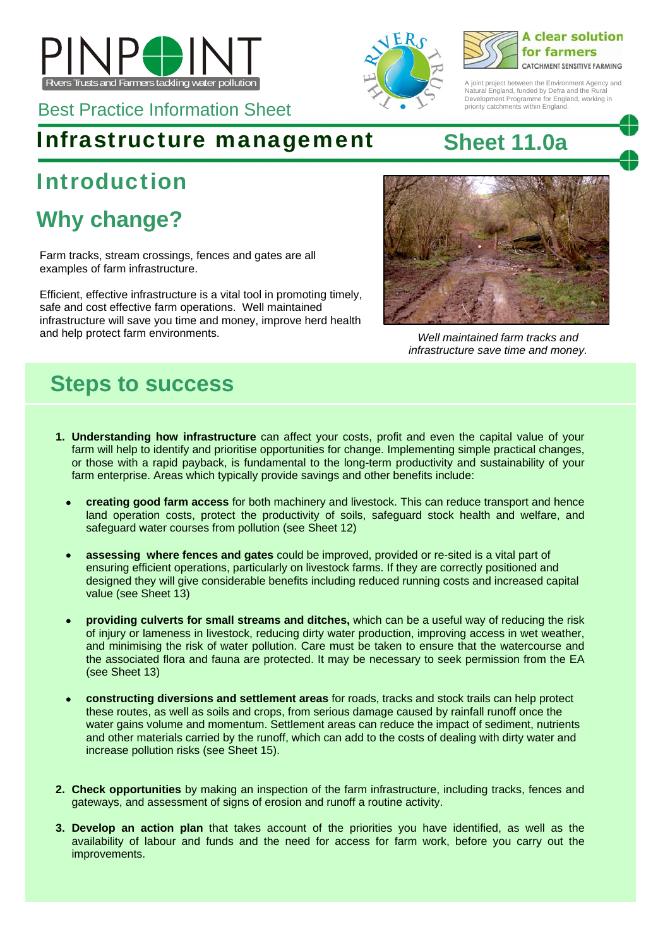

Best Practice Information Sheet

### Infrastructure management **Sheet 11.0a**

# Introduction

# **Why change?**

Farm tracks, stream crossings, fences and gates are all examples of farm infrastructure.

Efficient, effective infrastructure is a vital tool in promoting timely, safe and cost effective farm operations. Well maintained infrastructure will save you time and money, improve herd health and help protect farm environments. *Well maintained farm tracks and* 



*infrastructure save time and money.* 

## **Steps to success**

- **1. Understanding how infrastructure** can affect your costs, profit and even the capital value of your farm will help to identify and prioritise opportunities for change. Implementing simple practical changes, or those with a rapid payback, is fundamental to the long-term productivity and sustainability of your farm enterprise. Areas which typically provide savings and other benefits include:
	- **creating good farm access** for both machinery and livestock. This can reduce transport and hence land operation costs, protect the productivity of soils, safeguard stock health and welfare, and safeguard water courses from pollution (see Sheet 12)
	- **assessing where fences and gates** could be improved, provided or re-sited is a vital part of ensuring efficient operations, particularly on livestock farms. If they are correctly positioned and designed they will give considerable benefits including reduced running costs and increased capital value (see Sheet 13)
	- **providing culverts for small streams and ditches,** which can be a useful way of reducing the risk of injury or lameness in livestock, reducing dirty water production, improving access in wet weather, and minimising the risk of water pollution. Care must be taken to ensure that the watercourse and the associated flora and fauna are protected. It may be necessary to seek permission from the EA (see Sheet 13)
	- **constructing diversions and settlement areas** for roads, tracks and stock trails can help protect these routes, as well as soils and crops, from serious damage caused by rainfall runoff once the water gains volume and momentum. Settlement areas can reduce the impact of sediment, nutrients and other materials carried by the runoff, which can add to the costs of dealing with dirty water and increase pollution risks (see Sheet 15).
- **2. Check opportunities** by making an inspection of the farm infrastructure, including tracks, fences and gateways, and assessment of signs of erosion and runoff a routine activity.
- **3. Develop an action plan** that takes account of the priorities you have identified, as well as the availability of labour and funds and the need for access for farm work, before you carry out the improvements.





A joint project between the Environment Agency and Natural England, funded by Defra and the Rural Development Programme for England, working in priority catchments within England.